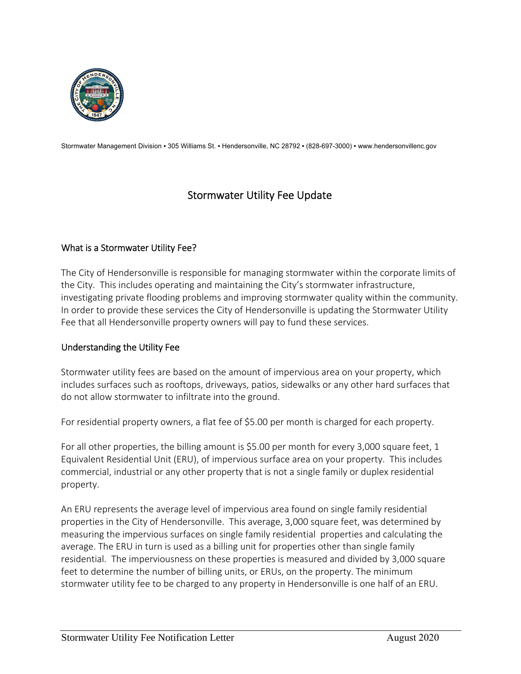

Stormwater Management Division • 305 Williams St. • Hendersonville, NC 28792 • (828-697-3000) • www.hendersonvillenc.gov

# Stormwater Utility Fee Update

## What is a Stormwater Utility Fee?

The City of Hendersonville is responsible for managing stormwater within the corporate limits of the City. This includes operating and maintaining the City's stormwater infrastructure, investigating private flooding problems and improving stormwater quality within the community. In order to provide these services the City of Hendersonville is updating the Stormwater Utility Fee that all Hendersonville property owners will pay to fund these services.

## Understanding the Utility Fee

Stormwater utility fees are based on the amount of impervious area on your property, which includes surfaces such as rooftops, driveways, patios, sidewalks or any other hard surfaces that do not allow stormwater to infiltrate into the ground.

For residential property owners, a flat fee of \$5.00 per month is charged for each property.

For all other properties, the billing amount is \$5.00 per month for every 3,000 square feet, 1 Equivalent Residential Unit (ERU), of impervious surface area on your property. This includes commercial, industrial or any other property that is not a single family or duplex residential property.

An ERU represents the average level of impervious area found on single family residential properties in the City of Hendersonville. This average, 3,000 square feet, was determined by measuring the impervious surfaces on single family residential properties and calculating the average. The ERU in turn is used as a billing unit for properties other than single family residential. The imperviousness on these properties is measured and divided by 3,000 square feet to determine the number of billing units, or ERUs, on the property. The minimum stormwater utility fee to be charged to any property in Hendersonville is one half of an ERU.